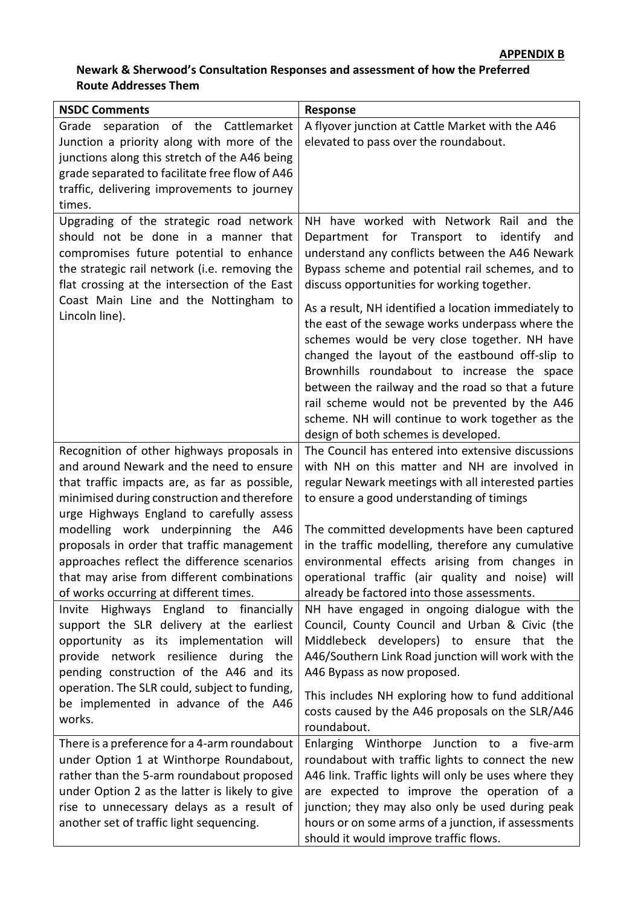## **Newark & Sherwood's Consultation Responses and assessment of how the Preferred Route Addresses Them**

| <b>NSDC Comments</b>                                                                           | <b>Response</b>                                                                                 |
|------------------------------------------------------------------------------------------------|-------------------------------------------------------------------------------------------------|
| Grade separation of the Cattlemarket                                                           | A flyover junction at Cattle Market with the A46                                                |
| Junction a priority along with more of the                                                     | elevated to pass over the roundabout.                                                           |
| junctions along this stretch of the A46 being                                                  |                                                                                                 |
| grade separated to facilitate free flow of A46                                                 |                                                                                                 |
| traffic, delivering improvements to journey                                                    |                                                                                                 |
| times.                                                                                         |                                                                                                 |
| Upgrading of the strategic road network                                                        | NH have worked with Network Rail and the                                                        |
| should not be done in a manner that                                                            | Department for Transport to<br>identify<br>and                                                  |
| compromises future potential to enhance                                                        | understand any conflicts between the A46 Newark                                                 |
| the strategic rail network (i.e. removing the<br>flat crossing at the intersection of the East | Bypass scheme and potential rail schemes, and to<br>discuss opportunities for working together. |
| Coast Main Line and the Nottingham to                                                          | As a result, NH identified a location immediately to                                            |
| Lincoln line).                                                                                 | the east of the sewage works underpass where the                                                |
|                                                                                                | schemes would be very close together. NH have                                                   |
|                                                                                                | changed the layout of the eastbound off-slip to                                                 |
|                                                                                                | Brownhills roundabout to increase the space                                                     |
|                                                                                                | between the railway and the road so that a future                                               |
|                                                                                                | rail scheme would not be prevented by the A46                                                   |
|                                                                                                | scheme. NH will continue to work together as the                                                |
|                                                                                                | design of both schemes is developed.                                                            |
| Recognition of other highways proposals in                                                     | The Council has entered into extensive discussions                                              |
| and around Newark and the need to ensure                                                       | with NH on this matter and NH are involved in                                                   |
| that traffic impacts are, as far as possible,                                                  | regular Newark meetings with all interested parties                                             |
| minimised during construction and therefore                                                    | to ensure a good understanding of timings                                                       |
| urge Highways England to carefully assess                                                      |                                                                                                 |
| modelling work underpinning the A46                                                            | The committed developments have been captured                                                   |
| proposals in order that traffic management                                                     | in the traffic modelling, therefore any cumulative                                              |
| approaches reflect the difference scenarios                                                    | environmental effects arising from changes in                                                   |
| that may arise from different combinations                                                     | operational traffic (air quality and noise) will                                                |
| of works occurring at different times.                                                         | already be factored into those assessments.                                                     |
| Invite Highways England to financially<br>support the SLR delivery at the earliest             | NH have engaged in ongoing dialogue with the<br>Council, County Council and Urban & Civic (the  |
| opportunity as its implementation will                                                         | Middlebeck developers) to ensure that the                                                       |
| provide network resilience during<br>the                                                       | A46/Southern Link Road junction will work with the                                              |
| pending construction of the A46 and its                                                        | A46 Bypass as now proposed.                                                                     |
| operation. The SLR could, subject to funding,                                                  |                                                                                                 |
| be implemented in advance of the A46                                                           | This includes NH exploring how to fund additional                                               |
| works.                                                                                         | costs caused by the A46 proposals on the SLR/A46                                                |
|                                                                                                | roundabout.                                                                                     |
| There is a preference for a 4-arm roundabout                                                   | Enlarging Winthorpe Junction to a five-arm                                                      |
| under Option 1 at Winthorpe Roundabout,                                                        | roundabout with traffic lights to connect the new                                               |
| rather than the 5-arm roundabout proposed                                                      | A46 link. Traffic lights will only be uses where they                                           |
| under Option 2 as the latter is likely to give<br>rise to unnecessary delays as a result of    | are expected to improve the operation of a<br>junction; they may also only be used during peak  |
| another set of traffic light sequencing.                                                       | hours or on some arms of a junction, if assessments                                             |
|                                                                                                | should it would improve traffic flows.                                                          |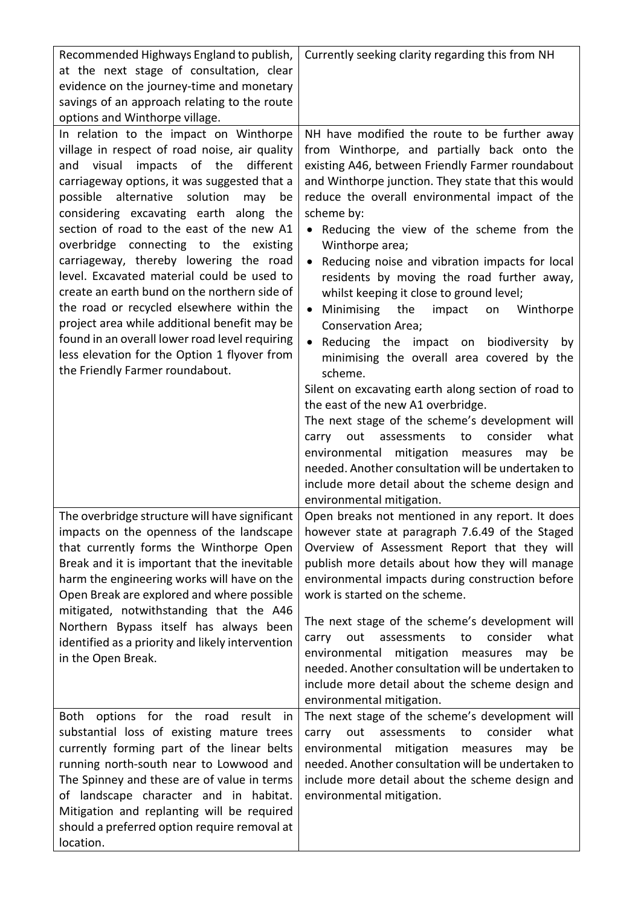| Recommended Highways England to publish,<br>at the next stage of consultation, clear<br>evidence on the journey-time and monetary<br>savings of an approach relating to the route<br>options and Winthorpe village.                                                                                                                                                                                                                                                                                                                                                                                                                                                                                                                       | Currently seeking clarity regarding this from NH                                                                                                                                                                                                                                                                                                                                                                                                                                                                                                                                                                                                                                                                                                                                                                                                                                                                                                                                                                                                                                                                      |
|-------------------------------------------------------------------------------------------------------------------------------------------------------------------------------------------------------------------------------------------------------------------------------------------------------------------------------------------------------------------------------------------------------------------------------------------------------------------------------------------------------------------------------------------------------------------------------------------------------------------------------------------------------------------------------------------------------------------------------------------|-----------------------------------------------------------------------------------------------------------------------------------------------------------------------------------------------------------------------------------------------------------------------------------------------------------------------------------------------------------------------------------------------------------------------------------------------------------------------------------------------------------------------------------------------------------------------------------------------------------------------------------------------------------------------------------------------------------------------------------------------------------------------------------------------------------------------------------------------------------------------------------------------------------------------------------------------------------------------------------------------------------------------------------------------------------------------------------------------------------------------|
| In relation to the impact on Winthorpe<br>village in respect of road noise, air quality<br>and visual impacts of the different<br>carriageway options, it was suggested that a<br>alternative solution<br>possible<br>may<br>be<br>considering excavating earth along the<br>section of road to the east of the new A1<br>overbridge connecting to the existing<br>carriageway, thereby lowering the road<br>level. Excavated material could be used to<br>create an earth bund on the northern side of<br>the road or recycled elsewhere within the<br>project area while additional benefit may be<br>found in an overall lower road level requiring<br>less elevation for the Option 1 flyover from<br>the Friendly Farmer roundabout. | NH have modified the route to be further away<br>from Winthorpe, and partially back onto the<br>existing A46, between Friendly Farmer roundabout<br>and Winthorpe junction. They state that this would<br>reduce the overall environmental impact of the<br>scheme by:<br>Reducing the view of the scheme from the<br>$\bullet$<br>Winthorpe area;<br>Reducing noise and vibration impacts for local<br>$\bullet$<br>residents by moving the road further away,<br>whilst keeping it close to ground level;<br>Minimising<br>the<br>impact<br>on<br>Winthorpe<br>$\bullet$<br><b>Conservation Area;</b><br>Reducing the impact on biodiversity<br>by<br>$\bullet$<br>minimising the overall area covered by the<br>scheme.<br>Silent on excavating earth along section of road to<br>the east of the new A1 overbridge.<br>The next stage of the scheme's development will<br>out assessments<br>consider<br>what<br>carry<br>to<br>environmental mitigation<br>measures may be<br>needed. Another consultation will be undertaken to<br>include more detail about the scheme design and<br>environmental mitigation. |
| The overbridge structure will have significant<br>impacts on the openness of the landscape<br>that currently forms the Winthorpe Open<br>Break and it is important that the inevitable<br>harm the engineering works will have on the<br>Open Break are explored and where possible<br>mitigated, notwithstanding that the A46<br>Northern Bypass itself has always been<br>identified as a priority and likely intervention<br>in the Open Break.                                                                                                                                                                                                                                                                                        | Open breaks not mentioned in any report. It does<br>however state at paragraph 7.6.49 of the Staged<br>Overview of Assessment Report that they will<br>publish more details about how they will manage<br>environmental impacts during construction before<br>work is started on the scheme.<br>The next stage of the scheme's development will<br>consider<br>out<br>assessments<br>what<br>carry<br>to<br>environmental mitigation<br>measures may be<br>needed. Another consultation will be undertaken to<br>include more detail about the scheme design and<br>environmental mitigation.                                                                                                                                                                                                                                                                                                                                                                                                                                                                                                                         |
| options for the road<br>Both<br>result<br>in<br>substantial loss of existing mature trees<br>currently forming part of the linear belts<br>running north-south near to Lowwood and<br>The Spinney and these are of value in terms<br>of landscape character and in habitat.<br>Mitigation and replanting will be required<br>should a preferred option require removal at<br>location.                                                                                                                                                                                                                                                                                                                                                    | The next stage of the scheme's development will<br>out assessments<br>consider<br>to<br>what<br>carry<br>mitigation<br>environmental<br>measures<br>may be<br>needed. Another consultation will be undertaken to<br>include more detail about the scheme design and<br>environmental mitigation.                                                                                                                                                                                                                                                                                                                                                                                                                                                                                                                                                                                                                                                                                                                                                                                                                      |